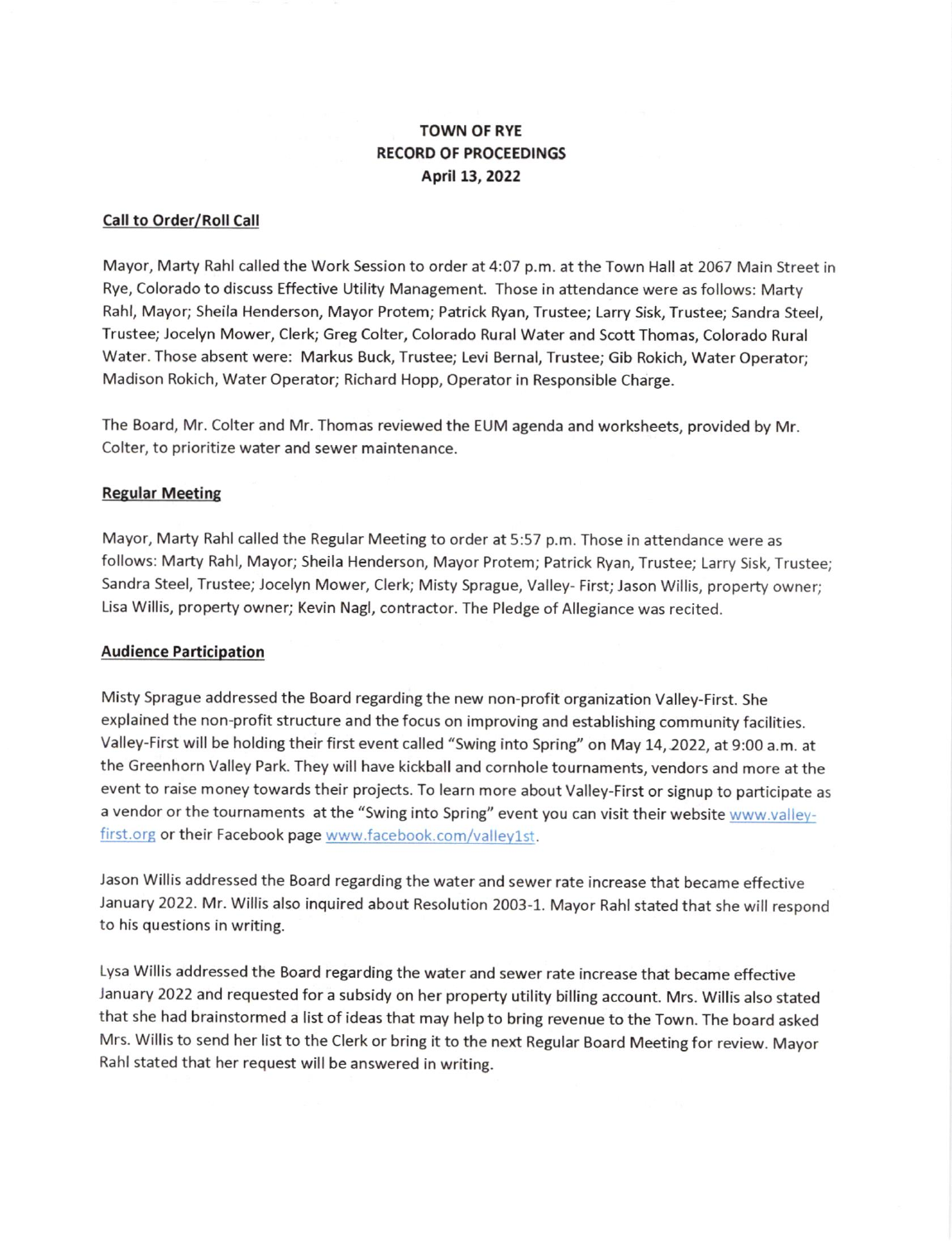# TOWN OF RYE RECORD OF PROCEEDINGS April 13, 2022

#### Call to Order/Roll Call

Mayor, Marty Rahl called the Work Session to order at 4:07 p.m. at the Town Hall at 2067 Main Street in Rye, Colorado to discuss Effective Utility Management. Those in attendance were as follows: Marty Rahl, Mayor; Sheila Henderson, Mayor Protem; Patrick Ryan, Trustee; Larry Sisk, Trustee; Sandra Steel, Trustee; Jocelyn Mower, Clerk; Greg Colter, Colorado Rural Water and Scott Thomas, Colorado Rural Water. Those absent were: Markus Buck, Trustee; Levi Bernal, Trustee; Gib Rokich, Water Operator; Madison Rokich, Water Operator; Richard Hopp, Operator in Responsible Charge.

The Board, Mr. Colter and Mr. Thomas reviewed the EUM agenda and worksheets, provided by Mr Colter, to prioritize water and sewer maintenance.

#### **Regular Meeting**

Mayor, Marty Rahl called the Regular Meeting to order at 5:57 p.m. Those in attendance were as follows: Marty Rahl, Mayor; Sheila Henderson, Mayor Protem; Patrick Ryan, Trustee; Larry Sisk, Trustee; Sandra Steel, Trustee; Jocelyn Mower, Clerk; Misty Sprague, Valley- First; Jason Willis, property owner; Lisa Willis, property owner; Kevin Nagl, contractor. The Pledge of Allegiance was recited.

#### Audience Participation

Misty Sprague addressed the Board regarding the new non-profit organization Valley-First. She explained the non-profit structure and the focus on improving and establishing community facilities. Valley-First will be holding their first event called "Swing into Spring" on May 14, 2022, at 9:00 a.m. at the Greenhorn Valley Park. They will have kickball and cornhole tournaments, vendors and more at the event to raise money towards their projects. To learn more about Valley-First or signup to participate as a vendor or the tournaments at the "Swing into Spring" event you can visit their website www.valleyfirst.org or their Facebook page www.facebook.com/valley1st.

Jason Willis addressed the Board regarding the water and sewer rate increase that became effective )anuary 2022. Mr. Willis also inquired about Resolution 2003-1. Mayor Rahl stated that she will respond to his questions in writing.

Lysa Willis addressed the Board regarding the water and sewer rate increase that became effective January 2022 and requested for a subsidy on her property utility billing account. Mrs. Willis also stated that she had brainstormed a list of ideas that may help to bring revenue to the Town. The board asked Mrs. Willis to send her list to the Clerk or bring it to the next Regular Board Meeting for review. Mayor Rahl stated that her request will be answered in writing.